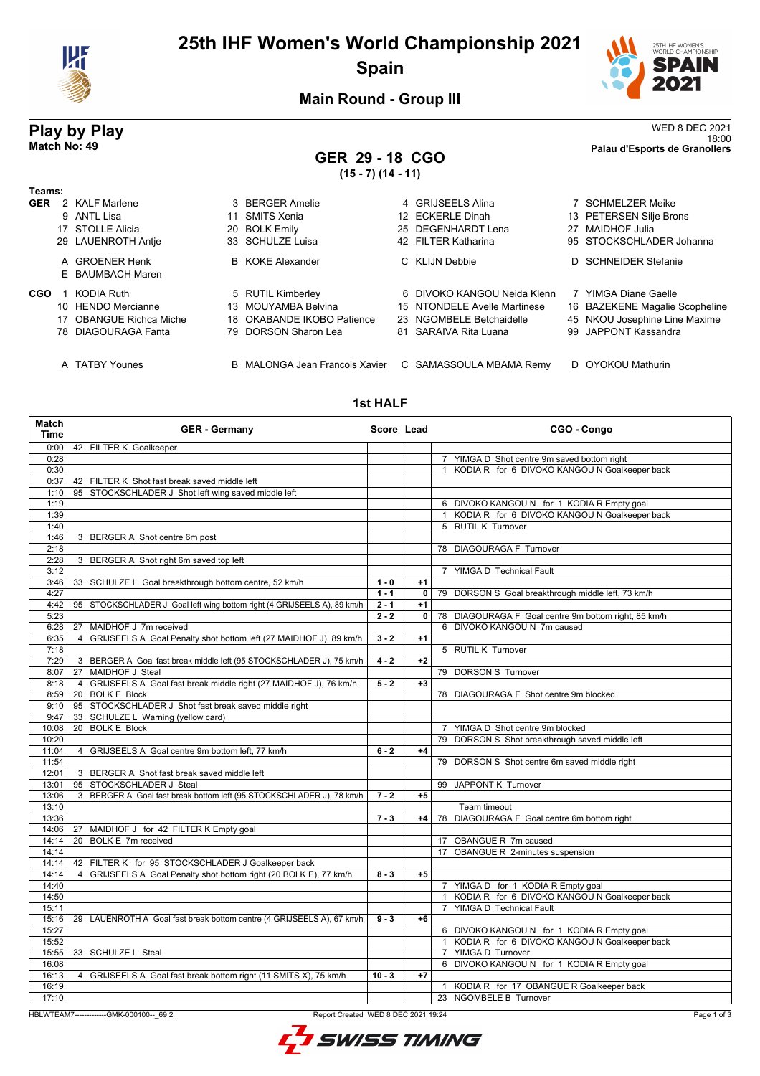

# **25th IHF Women's World Championship 2021 Spain**



**Main Round - Group III**

# **Play by Play** WED 8 DEC 2021

#### 18:00 **Match No: 49 Palau d'Esports de Granollers GER 29 - 18 CGO (15 - 7) (14 - 11)**

|            |                         | $\cdots$ $\cdots$                     |                              |                                |
|------------|-------------------------|---------------------------------------|------------------------------|--------------------------------|
| Teams:     |                         |                                       |                              |                                |
| <b>GER</b> | 2 KALF Marlene          | 3 BERGER Amelie                       | 4 GRIJSEELS Alina            | 7 SCHMELZER Meike              |
|            | 9 ANTL Lisa             | 11 SMITS Xenia                        | 12 ECKERLE Dinah             | 13 PETERSEN Silje Brons        |
|            | 17 STOLLE Alicia        | 20 BOLK Emily                         | 25 DEGENHARDT Lena           | 27 MAIDHOF Julia               |
|            | 29 LAUENROTH Antie      | 33 SCHULZE Luisa                      | 42 FILTER Katharina          | 95 STOCKSCHLADER Johanna       |
|            | A GROENER Henk          | <b>B</b> KOKE Alexander               | C KLIJN Debbie               | D SCHNEIDER Stefanie           |
|            | E BAUMBACH Maren        |                                       |                              |                                |
| <b>CGO</b> | KODIA Ruth              | 5 RUTIL Kimberley                     | 6 DIVOKO KANGOU Neida Klenn  | 7 YIMGA Diane Gaelle           |
|            | 10 HENDO Mercianne      | 13 MOUYAMBA Belvina                   | 15 NTONDELE Avelle Martinese | 16 BAZEKENE Magalie Scopheline |
|            | 17 OBANGUE Richca Miche | 18 OKABANDE IKOBO Patience            | 23 NGOMBELE Betchaidelle     | 45 NKOU Josephine Line Maxime  |
|            | 78 DIAGOURAGA Fanta     | 79 DORSON Sharon Lea                  | 81 SARAIVA Rita Luana        | 99 JAPPONT Kassandra           |
|            | A TATBY Younes          | <b>B</b> MALONGA Jean Francois Xavier | C SAMASSOULA MBAMA Remv      | D OYOKOU Mathurin              |

#### **1st HALF**

| Match<br><b>Time</b> | <b>GER - Germany</b>                                                               | Score Lead |              | CGO - Congo                                                   |
|----------------------|------------------------------------------------------------------------------------|------------|--------------|---------------------------------------------------------------|
| 0:00                 | 42 FILTER K Goalkeeper                                                             |            |              |                                                               |
| 0:28                 |                                                                                    |            |              | 7 YIMGA D Shot centre 9m saved bottom right                   |
| 0:30                 |                                                                                    |            |              | 1 KODIA R for 6 DIVOKO KANGOU N Goalkeeper back               |
| 0:37                 | 42 FILTER K Shot fast break saved middle left                                      |            |              |                                                               |
| 1:10                 | 95 STOCKSCHLADER J Shot left wing saved middle left                                |            |              |                                                               |
| 1:19                 |                                                                                    |            |              | 6 DIVOKO KANGOU N for 1 KODIA R Empty goal                    |
| 1:39                 |                                                                                    |            |              | KODIA R for 6 DIVOKO KANGOU N Goalkeeper back<br>$\mathbf{1}$ |
| 1:40                 |                                                                                    |            |              | 5 RUTIL K Turnover                                            |
| 1:46                 | 3 BERGER A Shot centre 6m post                                                     |            |              |                                                               |
| 2:18                 |                                                                                    |            |              | 78 DIAGOURAGA F Turnover                                      |
| 2:28                 | 3 BERGER A Shot right 6m saved top left                                            |            |              |                                                               |
| 3:12                 |                                                                                    |            |              | 7 YIMGA D Technical Fault                                     |
| 3:46                 | 33 SCHULZE L Goal breakthrough bottom centre, 52 km/h                              | $1 - 0$    | $+1$         |                                                               |
| 4:27                 |                                                                                    | $1 - 1$    | $\mathbf 0$  | 79 DORSON S Goal breakthrough middle left, 73 km/h            |
| 4:42                 | 95 STOCKSCHLADER J Goal left wing bottom right (4 GRIJSEELS A), 89 km/h            | $2 - 1$    | $+1$         |                                                               |
| 5:23                 |                                                                                    | $2 - 2$    | $\mathbf{0}$ | 78 DIAGOURAGA F Goal centre 9m bottom right, 85 km/h          |
| 6:28                 | 27<br>MAIDHOF J 7m received                                                        |            |              | 6 DIVOKO KANGOU N 7m caused                                   |
| 6:35                 | 4 GRIJSEELS A Goal Penalty shot bottom left (27 MAIDHOF J), 89 km/h                | $3 - 2$    | $+1$         |                                                               |
| 7:18                 |                                                                                    |            |              | 5 RUTIL K Turnover                                            |
| 7:29                 | 3 BERGER A Goal fast break middle left (95 STOCKSCHLADER J), 75 km/h               | $4 - 2$    | $+2$         |                                                               |
| 8:07                 | 27 MAIDHOF J Steal                                                                 |            |              | 79 DORSON S Turnover                                          |
| 8:18                 | GRIJSEELS A Goal fast break middle right (27 MAIDHOF J), 76 km/h<br>$\overline{4}$ | $5 - 2$    | $+3$         |                                                               |
| 8:59                 | <b>BOLK E Block</b><br>20                                                          |            |              | 78 DIAGOURAGA F Shot centre 9m blocked                        |
| 9:10                 | 95 STOCKSCHLADER J Shot fast break saved middle right                              |            |              |                                                               |
| 9:47                 | SCHULZE L Warning (yellow card)<br>33                                              |            |              |                                                               |
| 10:08                | <b>BOLK E Block</b><br>20                                                          |            |              | 7 YIMGA D Shot centre 9m blocked                              |
| 10:20                |                                                                                    |            |              | 79 DORSON S Shot breakthrough saved middle left               |
| 11:04                | 4 GRIJSEELS A Goal centre 9m bottom left, 77 km/h                                  | $6 - 2$    | $+4$         |                                                               |
| 11:54                |                                                                                    |            |              | 79 DORSON S Shot centre 6m saved middle right                 |
| 12:01                | 3 BERGER A Shot fast break saved middle left                                       |            |              |                                                               |
| 13:01                | 95 STOCKSCHLADER J Steal                                                           |            |              | 99 JAPPONT K Turnover                                         |
| 13:06                | BERGER A Goal fast break bottom left (95 STOCKSCHLADER J), 78 km/h<br>3            | $7 - 2$    | $+5$         |                                                               |
| 13:10                |                                                                                    |            |              | Team timeout                                                  |
| 13:36                |                                                                                    | $7 - 3$    | $+4$         | 78 DIAGOURAGA F Goal centre 6m bottom right                   |
| 14:06                | 27 MAIDHOF J for 42 FILTER K Empty goal                                            |            |              |                                                               |
| 14:14                | BOLK E 7m received<br>20                                                           |            |              | 17 OBANGUE R 7m caused                                        |
| 14:14                |                                                                                    |            |              | 17 OBANGUE R 2-minutes suspension                             |
| 14:14                | 42 FILTER K for 95 STOCKSCHLADER J Goalkeeper back                                 |            |              |                                                               |
| 14:14                | GRIJSEELS A Goal Penalty shot bottom right (20 BOLK E), 77 km/h<br>4               | $8 - 3$    | $+5$         |                                                               |
| 14:40                |                                                                                    |            |              | 7 YIMGA D for 1 KODIA R Empty goal                            |
| 14:50                |                                                                                    |            |              | KODIA R for 6 DIVOKO KANGOU N Goalkeeper back<br>$\mathbf{1}$ |
| 15:11                |                                                                                    |            |              | YIMGA D Technical Fault<br>$\overline{7}$                     |
| 15:16                | 29 LAUENROTH A Goal fast break bottom centre (4 GRIJSEELS A), 67 km/h              | $9 - 3$    | $+6$         |                                                               |
| 15:27                |                                                                                    |            |              | 6 DIVOKO KANGOU N for 1 KODIA R Empty goal                    |
| 15:52                |                                                                                    |            |              | 1 KODIA R for 6 DIVOKO KANGOU N Goalkeeper back               |
| 15:55                | 33 SCHULZE L Steal                                                                 |            |              | 7 YIMGA D Turnover                                            |
| 16:08                |                                                                                    |            |              | 6 DIVOKO KANGOU N for 1 KODIA R Empty goal                    |
| 16:13                | 4 GRIJSEELS A Goal fast break bottom right (11 SMITS X), 75 km/h                   | $10 - 3$   | $+7$         |                                                               |
| 16:19                |                                                                                    |            |              | 1 KODIA R for 17 OBANGUE R Goalkeeper back                    |
| 17:10                |                                                                                    |            |              | 23 NGOMBELE B Turnover                                        |

HBLWTEAM7--------------GMK-000100--\_69 2 Report Created WED 8 DEC 2021 19:24

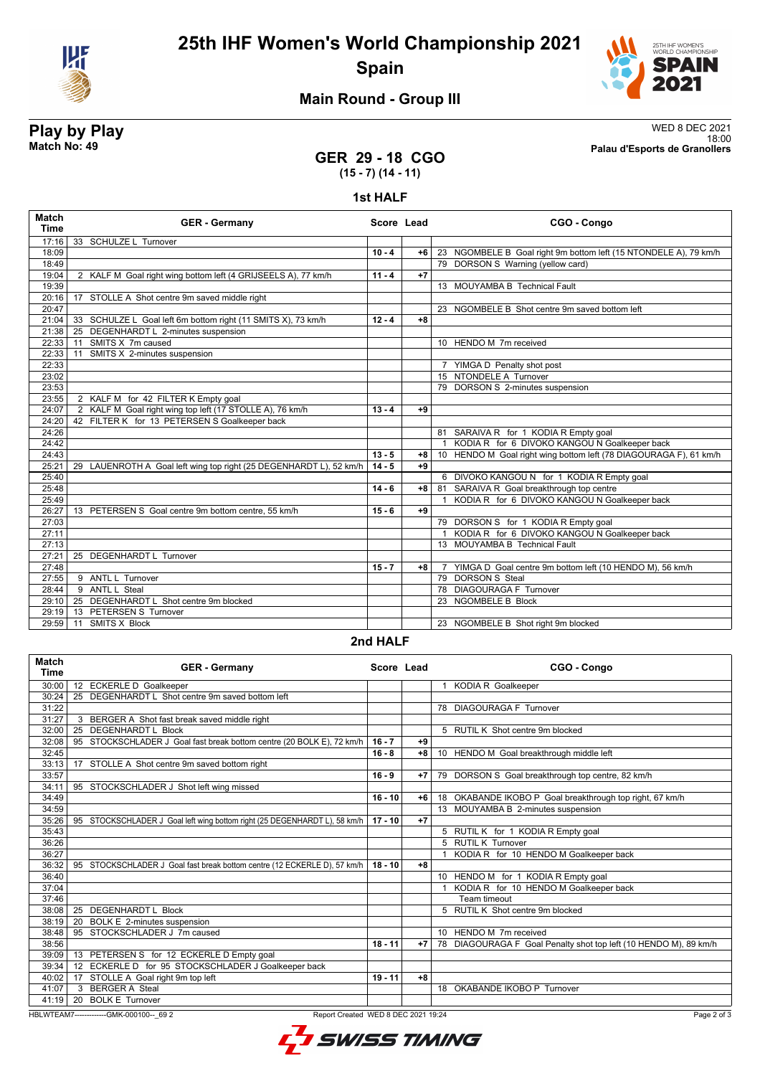

**25th IHF Women's World Championship 2021 Spain**



18:00 **Match No: 49 Palau d'Esports de Granollers**

# **Main Round - Group III**

# **Play by Play**<br>Match No: 49<br>Palau d'Esports de Granollers

## **GER 29 - 18 CGO (15 - 7) (14 - 11)**

**1st HALF**

| Match<br><b>Time</b> | <b>GER - Germany</b>                                               | Score Lead |      | CGO - Congo                                                       |
|----------------------|--------------------------------------------------------------------|------------|------|-------------------------------------------------------------------|
| 17:16                | 33 SCHULZE L Turnover                                              |            |      |                                                                   |
| 18:09                |                                                                    | $10 - 4$   | $+6$ | 23 NGOMBELE B Goal right 9m bottom left (15 NTONDELE A), 79 km/h  |
| 18:49                |                                                                    |            |      | 79 DORSON S Warning (yellow card)                                 |
| 19:04                | 2 KALF M Goal right wing bottom left (4 GRIJSEELS A), 77 km/h      | $11 - 4$   | $+7$ |                                                                   |
| 19:39                |                                                                    |            |      | 13 MOUYAMBA B Technical Fault                                     |
| 20:16                | 17 STOLLE A Shot centre 9m saved middle right                      |            |      |                                                                   |
| 20:47                |                                                                    |            |      | 23 NGOMBELE B Shot centre 9m saved bottom left                    |
| 21:04                | 33 SCHULZE L Goal left 6m bottom right (11 SMITS X), 73 km/h       | $12 - 4$   | $+8$ |                                                                   |
| 21:38                | 25 DEGENHARDT L 2-minutes suspension                               |            |      |                                                                   |
| 22:33                | 11 SMITS X 7m caused                                               |            |      | 10 HENDO M 7m received                                            |
| 22:33                | 11 SMITS X 2-minutes suspension                                    |            |      |                                                                   |
| 22:33                |                                                                    |            |      | 7 YIMGA D Penalty shot post                                       |
| 23:02                |                                                                    |            |      | 15 NTONDELE A Turnover                                            |
| 23:53                |                                                                    |            |      | 79 DORSON S 2-minutes suspension                                  |
| 23:55                | 2 KALF M for 42 FILTER K Empty goal                                |            |      |                                                                   |
| 24:07                | 2 KALF M Goal right wing top left (17 STOLLE A), 76 km/h           | $13 - 4$   | $+9$ |                                                                   |
| 24:20                | 42 FILTER K for 13 PETERSEN S Goalkeeper back                      |            |      |                                                                   |
| 24:26                |                                                                    |            |      | 81 SARAIVA R for 1 KODIA R Empty goal                             |
| 24:42                |                                                                    |            |      | 1 KODIA R for 6 DIVOKO KANGOU N Goalkeeper back                   |
| 24:43                |                                                                    | $13 - 5$   | $+8$ | 10 HENDO M Goal right wing bottom left (78 DIAGOURAGA F), 61 km/h |
| 25:21                | 29 LAUENROTH A Goal left wing top right (25 DEGENHARDT L), 52 km/h | $14 - 5$   | $+9$ |                                                                   |
| 25:40                |                                                                    |            |      | 6 DIVOKO KANGOU N for 1 KODIA R Empty goal                        |
| 25:48                |                                                                    | $14 - 6$   | $+8$ | 81 SARAIVA R Goal breakthrough top centre                         |
| 25:49                |                                                                    |            |      | 1 KODIA R for 6 DIVOKO KANGOU N Goalkeeper back                   |
| 26:27                | 13 PETERSEN S Goal centre 9m bottom centre, 55 km/h                | $15 - 6$   | $+9$ |                                                                   |
| 27:03                |                                                                    |            |      | 79 DORSON S for 1 KODIA R Empty goal                              |
| 27:11                |                                                                    |            |      | 1 KODIA R for 6 DIVOKO KANGOU N Goalkeeper back                   |
| 27:13                |                                                                    |            |      | 13 MOUYAMBA B Technical Fault                                     |
| 27:21                | 25 DEGENHARDT L Turnover                                           |            |      |                                                                   |
| 27:48                |                                                                    | $15 - 7$   | $+8$ | 7 YIMGA D Goal centre 9m bottom left (10 HENDO M), 56 km/h        |
| 27:55                | 9 ANTL L Turnover                                                  |            |      | 79 DORSON S Steal                                                 |
| 28:44                | 9 ANTL L Steal                                                     |            |      | 78 DIAGOURAGA F Turnover                                          |
| 29:10                | 25 DEGENHARDT L Shot centre 9m blocked                             |            |      | 23 NGOMBELE B Block                                               |
| 29:19                | 13 PETERSEN S Turnover                                             |            |      |                                                                   |
| 29:59                | 11 SMITS X Block                                                   |            |      | 23 NGOMBELE B Shot right 9m blocked                               |

### **2nd HALF**

| Match<br><b>Time</b>                                                                           | <b>GER - Germany</b>                                                      | Score Lead |      | CGO - Congo                                                      |
|------------------------------------------------------------------------------------------------|---------------------------------------------------------------------------|------------|------|------------------------------------------------------------------|
| 30:00                                                                                          | 12 ECKERLE D Goalkeeper                                                   |            |      | <b>KODIA R Goalkeeper</b><br>1                                   |
| 30:24                                                                                          | 25 DEGENHARDT L Shot centre 9m saved bottom left                          |            |      |                                                                  |
| 31:22                                                                                          |                                                                           |            |      | 78 DIAGOURAGA F Turnover                                         |
| 31:27                                                                                          | 3 BERGER A Shot fast break saved middle right                             |            |      |                                                                  |
| 32:00                                                                                          | <b>DEGENHARDT L Block</b><br>25                                           |            |      | 5 RUTIL K Shot centre 9m blocked                                 |
| 32:08                                                                                          | 95 STOCKSCHLADER J Goal fast break bottom centre (20 BOLK E), 72 km/h     | $16 - 7$   | $+9$ |                                                                  |
| 32:45                                                                                          |                                                                           | $16 - 8$   | $+8$ | 10 HENDO M Goal breakthrough middle left                         |
| 33:13                                                                                          | 17 STOLLE A Shot centre 9m saved bottom right                             |            |      |                                                                  |
| 33:57                                                                                          |                                                                           | $16 - 9$   | $+7$ | 79 DORSON S Goal breakthrough top centre, 82 km/h                |
| 34:11                                                                                          | 95 STOCKSCHLADER J Shot left wing missed                                  |            |      |                                                                  |
| 34:49                                                                                          |                                                                           | $16 - 10$  | $+6$ | 18 OKABANDE IKOBO P Goal breakthrough top right, 67 km/h         |
| 34:59                                                                                          |                                                                           |            |      | 13 MOUYAMBA B 2-minutes suspension                               |
| 35:26                                                                                          | 95 STOCKSCHLADER J Goal left wing bottom right (25 DEGENHARDT L), 58 km/h | $17 - 10$  | $+7$ |                                                                  |
| 35:43                                                                                          |                                                                           |            |      | 5 RUTIL K for 1 KODIA R Empty goal                               |
| 36:26                                                                                          |                                                                           |            |      | 5 RUTIL K Turnover                                               |
| 36:27                                                                                          |                                                                           |            |      | KODIA R for 10 HENDO M Goalkeeper back                           |
| 36:32                                                                                          | 95 STOCKSCHLADER J Goal fast break bottom centre (12 ECKERLE D), 57 km/h  | $18 - 10$  | $+8$ |                                                                  |
| 36:40                                                                                          |                                                                           |            |      | 10 HENDO M for 1 KODIA R Empty goal                              |
| 37:04                                                                                          |                                                                           |            |      | KODIA R for 10 HENDO M Goalkeeper back                           |
| 37:46                                                                                          |                                                                           |            |      | Team timeout                                                     |
| 38:08                                                                                          | 25 DEGENHARDT L Block                                                     |            |      | 5 RUTIL K Shot centre 9m blocked                                 |
| 38:19                                                                                          | BOLK E 2-minutes suspension<br>20                                         |            |      |                                                                  |
| 38:48                                                                                          | 95 STOCKSCHLADER J 7m caused                                              |            |      | 10 HENDO M 7m received                                           |
| 38:56                                                                                          |                                                                           | $18 - 11$  | $+7$ | 78 DIAGOURAGA F Goal Penalty shot top left (10 HENDO M), 89 km/h |
| 39:09                                                                                          | 13 PETERSEN S for 12 ECKERLE D Empty goal                                 |            |      |                                                                  |
| 39:34                                                                                          | 12 ECKERLE D for 95 STOCKSCHLADER J Goalkeeper back                       |            |      |                                                                  |
| 40:02                                                                                          | 17 STOLLE A Goal right 9m top left                                        | $19 - 11$  | $+8$ |                                                                  |
| 41:07                                                                                          | 3 BERGER A Steal                                                          |            |      | 18 OKABANDE IKOBO P Turnover                                     |
| 41:19                                                                                          | 20 BOLK E Turnover                                                        |            |      |                                                                  |
| HBLWTEAM7--------------GMK-000100-- 69 2<br>Report Created WED 8 DEC 2021 19:24<br>Page 2 of 3 |                                                                           |            |      |                                                                  |